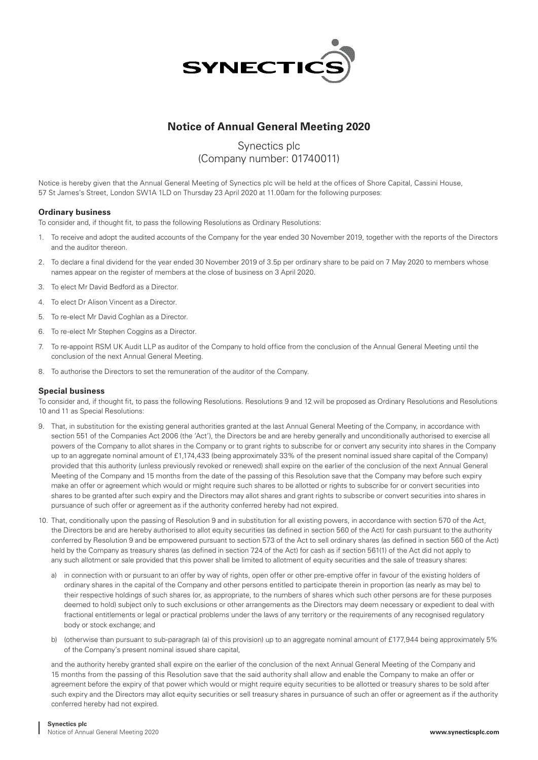

## **Notice of Annual General Meeting 2020**

# Synectics plc (Company number: 01740011)

Notice is hereby given that the Annual General Meeting of Synectics plc will be held at the offices of Shore Capital, Cassini House, 57 St James's Street, London SW1A 1LD on Thursday 23 April 2020 at 11.00am for the following purposes:

## **Ordinary business**

To consider and, if thought fit, to pass the following Resolutions as Ordinary Resolutions:

- 1. To receive and adopt the audited accounts of the Company for the year ended 30 November 2019, together with the reports of the Directors and the auditor thereon.
- 2. To declare a final dividend for the year ended 30 November 2019 of 3.5p per ordinary share to be paid on 7 May 2020 to members whose names appear on the register of members at the close of business on 3 April 2020.
- 3. To elect Mr David Bedford as a Director.
- 4. To elect Dr Alison Vincent as a Director.
- 5. To re-elect Mr David Coghlan as a Director.
- 6. To re-elect Mr Stephen Coggins as a Director.
- 7. To re-appoint RSM UK Audit LLP as auditor of the Company to hold office from the conclusion of the Annual General Meeting until the conclusion of the next Annual General Meeting.
- 8. To authorise the Directors to set the remuneration of the auditor of the Company.

## **Special business**

To consider and, if thought fit, to pass the following Resolutions. Resolutions 9 and 12 will be proposed as Ordinary Resolutions and Resolutions 10 and 11 as Special Resolutions:

- 9. That, in substitution for the existing general authorities granted at the last Annual General Meeting of the Company, in accordance with section 551 of the Companies Act 2006 (the 'Act'), the Directors be and are hereby generally and unconditionally authorised to exercise all powers of the Company to allot shares in the Company or to grant rights to subscribe for or convert any security into shares in the Company up to an aggregate nominal amount of £1,174,433 (being approximately 33% of the present nominal issued share capital of the Company) provided that this authority (unless previously revoked or renewed) shall expire on the earlier of the conclusion of the next Annual General Meeting of the Company and 15 months from the date of the passing of this Resolution save that the Company may before such expiry make an offer or agreement which would or might require such shares to be allotted or rights to subscribe for or convert securities into shares to be granted after such expiry and the Directors may allot shares and grant rights to subscribe or convert securities into shares in pursuance of such offer or agreement as if the authority conferred hereby had not expired.
- 10. That, conditionally upon the passing of Resolution 9 and in substitution for all existing powers, in accordance with section 570 of the Act, the Directors be and are hereby authorised to allot equity securities (as defined in section 560 of the Act) for cash pursuant to the authority conferred by Resolution 9 and be empowered pursuant to section 573 of the Act to sell ordinary shares (as defined in section 560 of the Act) held by the Company as treasury shares (as defined in section 724 of the Act) for cash as if section 561(1) of the Act did not apply to any such allotment or sale provided that this power shall be limited to allotment of equity securities and the sale of treasury shares:
	- a) in connection with or pursuant to an offer by way of rights, open offer or other pre-emptive offer in favour of the existing holders of ordinary shares in the capital of the Company and other persons entitled to participate therein in proportion (as nearly as may be) to their respective holdings of such shares (or, as appropriate, to the numbers of shares which such other persons are for these purposes deemed to hold) subject only to such exclusions or other arrangements as the Directors may deem necessary or expedient to deal with fractional entitlements or legal or practical problems under the laws of any territory or the requirements of any recognised regulatory body or stock exchange; and
	- b) (otherwise than pursuant to sub-paragraph (a) of this provision) up to an aggregate nominal amount of £177,944 being approximately 5% of the Company's present nominal issued share capital,

 and the authority hereby granted shall expire on the earlier of the conclusion of the next Annual General Meeting of the Company and 15 months from the passing of this Resolution save that the said authority shall allow and enable the Company to make an offer or agreement before the expiry of that power which would or might require equity securities to be allotted or treasury shares to be sold after such expiry and the Directors may allot equity securities or sell treasury shares in pursuance of such an offer or agreement as if the authority conferred hereby had not expired.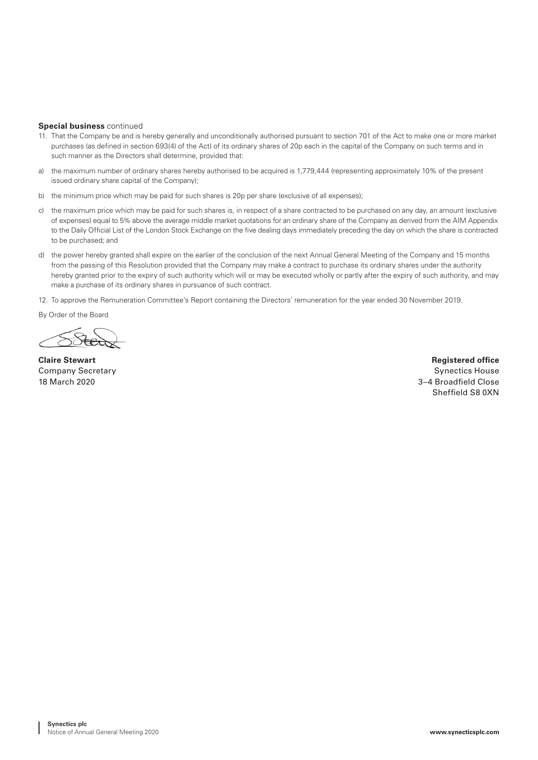#### **Special business** continued

- 11. That the Company be and is hereby generally and unconditionally authorised pursuant to section 701 of the Act to make one or more market purchases (as defined in section 693(4) of the Act) of its ordinary shares of 20p each in the capital of the Company on such terms and in such manner as the Directors shall determine, provided that:
- a) the maximum number of ordinary shares hereby authorised to be acquired is 1,779,444 (representing approximately 10% of the present issued ordinary share capital of the Company);
- b) the minimum price which may be paid for such shares is 20p per share (exclusive of all expenses);
- c) the maximum price which may be paid for such shares is, in respect of a share contracted to be purchased on any day, an amount (exclusive of expenses) equal to 5% above the average middle market quotations for an ordinary share of the Company as derived from the AIM Appendix to the Daily Official List of the London Stock Exchange on the five dealing days immediately preceding the day on which the share is contracted to be purchased; and
- d) the power hereby granted shall expire on the earlier of the conclusion of the next Annual General Meeting of the Company and 15 months from the passing of this Resolution provided that the Company may make a contract to purchase its ordinary shares under the authority hereby granted prior to the expiry of such authority which will or may be executed wholly or partly after the expiry of such authority, and may make a purchase of its ordinary shares in pursuance of such contract.
- 12. To approve the Remuneration Committee's Report containing the Directors' remuneration for the year ended 30 November 2019.

By Order of the Board

**Claire Stewart Registered office Company Secretary Synectics House According to the Company Synectics House** Synectics House **Synectics House** 18 March 2020 3–4 Broadfield Close Sheffield S8 0XN